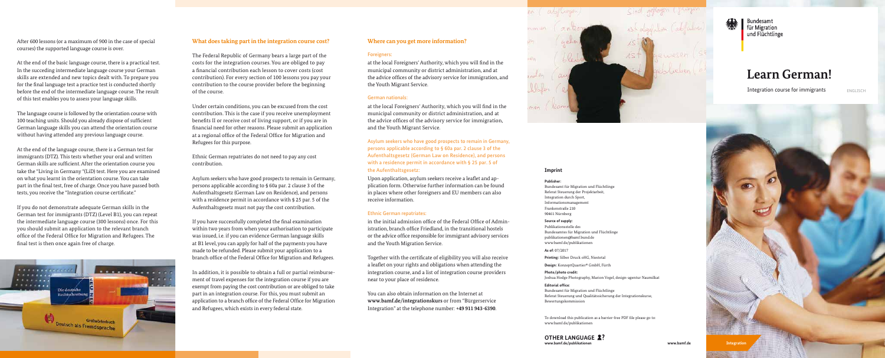# **Learn German!**

Integration course for immigrants

After 600 lessons (or a maximum of 900 in the case of special courses) the supported language course is over.

At the end of the basic language course, there is a practical test. In the succeding intermediate language course your German skills are extended and new topics dealt with. To prepare you for the final language test a practice test is conducted shortly before the end of the intermediate language course. The result of this test enables you to assess your language skills.

The language course is followed by the orientation course with 100 teaching units. Should you already dispose of sufficient German language skills you can attend the orientation course without having attended any previous language course.

At the end of the language course, there is a German test for immigrants (DTZ). This tests whether your oral and written German skills are sufficient. After the orientation course you take the "Living in Germany "(LiD) test. Here you are examined on what you learnt in the orientation course. You can take part in the final test, free of charge. Once you have passed both tests, you receive the "Integration course certificate."

If you do not demonstrate adequate German skills in the German test for immigrants (DTZ) (Level B1), you can repeat the intermediate language course (300 lessons) once. For this you should submit an application to the relevant branch office of the Federal Office for Migration and Refugees. The final test is then once again free of charge.



## **What does taking part in the integration course cost?**

The Federal Republic of Germany bears a large part of the costs for the integration courses. You are obliged to pay a financial contribution each lesson to cover costs (cost contribution). For every section of 100 lessons you pay your contribution to the course provider before the beginning of the course.

Under certain conditions, you can be excused from the cost contribution. This is the case if you receive unemployment benefits II or receive cost of living support, or if you are in financial need for other reasons. Please submit an application at a regional office of the Federal Office for Migration and Refugees for this purpose.

Ethnic German repatriates do not need to pay any cost contribution.

Asylum seekers who have good prospects to remain in Germany, persons applicable according to § 60a par. 2 clause 3 of the Aufenthaltsgesetz (German Law on Residence), and persons with a residence permit in accordance with § 25 par. 5 of the Aufenthaltsgesetz must not pay the cost contribution.

If you have successfully completed the final examination within two years from when your authorisation to participate was issued, i.e. if you can evidence German language skills at B1 level, you can apply for half of the payments you have made to be refunded. Please submit your application to a branch office of the Federal Office for Migration and Refugees.

> **www.bamf.de/publikationen OTHER LANGUAGE 2?**

In addition, it is possible to obtain a full or partial reimbursement of travel expenses for the integration course if you are exempt from paying the cost contribution or are obliged to take part in an integration course. For this, you must submit an application to a branch office of the Federal Office for Migration and Refugees, which exists in every federal state.

#### **Where can you get more information?**

#### Foreigners:

at the local Foreigners' Authority, which you will find in the municipal community or district administration, and at the advice offices of the advisory service for immigration, and the Youth Migrant Service.

#### German nationals:

at the local Foreigners' Authority, which you will find in the municipal community or district administration, and at the advice offices of the advisory service for immigration, and the Youth Migrant Service.

Asylum seekers who have good prospects to remain in Germany, persons applicable according to § 60a par. 2 clause 3 of the Aufenthaltsgesetz (German Law on Residence), and persons with a residence permit in accordance with § 25 par. 5 of the Aufenthaltsgesetz:

Upon application, asylum seekers receive a leaflet and application form. Otherwise further information can be found in places where other foreigners and EU members can also receive information.

#### Ethnic German repatriates:

in the initial admission office of the Federal Office of Administration, branch office Friedland, in the transitional hostels or the advice office responsible for immigrant advisory services and the Youth Migration Service.

Together with the certificate of eligibility you will also receive a leaflet on your rights and obligations when attending the integration course, and a list of integration course providers near to your place of residence.

You can also obtain information on the Internet at **www.bamf.de/integrationskurs** or from "Bürgerservice Integration" at the telephone number: **+49 911 943-6390**.





Bundesamt für Migration und Flüchtlinge

#### **Imprint**

#### **Publisher:**

Bundesamt für Migration und Flüchtlinge Referat Steuerung der Projektarbeit, Integration durch Sport, Informationsmanagement Frankenstraße 210 90461 Nürnberg

#### **Source of supply:**

Publikationsstelle des Bundesamtes für Migration und Flüchtlinge publikationen@bamf.bund.de www.bamf.de/publikationen

**As of:** 07/2017

**Printing:** Silber Druck oHG, Niestetal

**Design:** KonzeptQuartier® GmbH, Fürth

**Photo/photo credit:**  Joshua Hodge Photography, Marion Vogel, design-agentur Naumilkat

**Editorial office:**  Bundesamt für Migration und Flüchtlinge Referat Steuerung und Qualitätssicherung der Integrationskurse, Bewertungskommission

ENGLISCH



To download this publication as a barrier-free PDF file please go to: www.bamf.de/publikationen

**www.bamf.de**